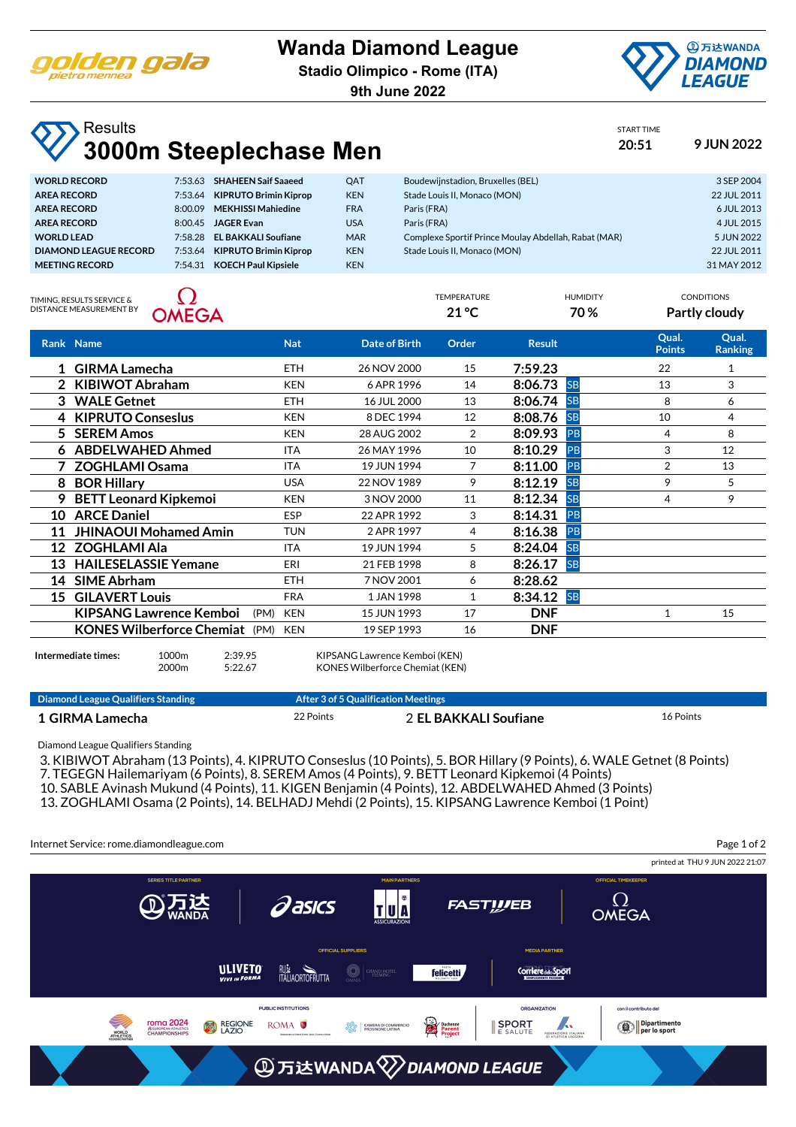

## **Wanda Diamond League**

**Stadio Olimpico - Rome (ITA)**

**9th June 2022**



START TIME

TEMPERATURE HUMIDITY CONDITIONS **21 °C 70 % Partly cloudy**

## **Results 3000m Steeplechase Men 20:51 9 JUN 2022**

| <b>WORLD RECORD</b>          | 7:53.63 | <b>SHAHEEN Saif Saaeed</b>   | QAT        | Boudewijnstadion, Bruxelles (BEL)                    | 3 SEP 2004  |
|------------------------------|---------|------------------------------|------------|------------------------------------------------------|-------------|
| <b>AREA RECORD</b>           | 7:53.64 | <b>KIPRUTO Brimin Kiprop</b> | <b>KEN</b> | Stade Louis II. Monaco (MON)                         | 22 JUL 2011 |
| <b>AREA RECORD</b>           | 8:00.09 | <b>MEKHISSI Mahiedine</b>    | <b>FRA</b> | Paris (FRA)                                          | 6 JUL 2013  |
| <b>AREA RECORD</b>           | 8:00.45 | <b>JAGER Evan</b>            | <b>USA</b> | Paris (FRA)                                          | 4 JUL 2015  |
| <b>WORLD LEAD</b>            | 7.5828  | <b>EL BAKKALI Soufiane</b>   | <b>MAR</b> | Complexe Sportif Prince Moulay Abdellah, Rabat (MAR) | 5 JUN 2022  |
| <b>DIAMOND LEAGUE RECORD</b> | 7:53.64 | <b>KIPRUTO Brimin Kiprop</b> | <b>KEN</b> | Stade Louis II. Monaco (MON)                         | 22 JUL 2011 |
| <b>MEETING RECORD</b>        | 7:54.31 | <b>KOECH Paul Kipsiele</b>   | <b>KEN</b> |                                                      | 31 MAY 2012 |
|                              |         |                              |            |                                                      |             |

TIMING, RESULTS SERVICE & DISTANCE MEASUREMENT BY



|    | Rank Name                             |      | <b>Nat</b> | Date of Birth | Order | <b>Result</b> |           | Qual.<br><b>Points</b> | Qual.<br><b>Ranking</b> |
|----|---------------------------------------|------|------------|---------------|-------|---------------|-----------|------------------------|-------------------------|
|    | 1 GIRMA Lamecha                       |      | <b>ETH</b> | 26 NOV 2000   | 15    | 7:59.23       |           | 22                     |                         |
|    | 2 KIBIWOT Abraham                     |      | <b>KEN</b> | 6 APR 1996    | 14    | 8:06.73       | <b>SB</b> | 13                     | 3                       |
|    | 3 WALE Getnet                         |      | <b>ETH</b> | 16 JUL 2000   | 13    | 8:06.74       | <b>SB</b> | 8                      | 6                       |
|    | 4 KIPRUTO Conseslus                   |      | <b>KEN</b> | 8 DEC 1994    | 12    | 8:08.76       | <b>SB</b> | 10                     | 4                       |
|    | 5 SEREM Amos                          |      | <b>KEN</b> | 28 AUG 2002   | 2     | 8:09.93       | <b>PB</b> | 4                      | 8                       |
|    | 6 ABDELWAHED Ahmed                    |      | <b>ITA</b> | 26 MAY 1996   | 10    | 8:10.29       | PB        | 3                      | 12                      |
|    | 7 ZOGHLAMI Osama                      |      | <b>ITA</b> | 19 JUN 1994   | 7     | 8:11.00       | PB        | 2                      | 13                      |
| 8  | <b>BOR Hillary</b>                    |      | <b>USA</b> | 22 NOV 1989   | 9     | 8:12.19       | <b>SB</b> | 9                      | 5                       |
| 9  | <b>BETT Leonard Kipkemoi</b>          |      | <b>KEN</b> | 3 NOV 2000    | 11    | 8:12.34       | <b>SB</b> | 4                      | 9                       |
| 10 | <b>ARCE Daniel</b>                    |      | <b>ESP</b> | 22 APR 1992   | 3     | 8:14.31       | <b>PB</b> |                        |                         |
| 11 | <b>JHINAOUI Mohamed Amin</b>          |      | <b>TUN</b> | 2 APR 1997    | 4     | 8:16.38       | <b>PB</b> |                        |                         |
| 12 | <b>ZOGHLAMI Ala</b>                   |      | <b>ITA</b> | 19 JUN 1994   | 5     | 8:24.04       | <b>SB</b> |                        |                         |
| 13 | <b>HAILESELASSIE Yemane</b>           |      | ERI        | 21 FEB 1998   | 8     | 8:26.17       | <b>SB</b> |                        |                         |
| 14 | <b>SIME Abrham</b>                    |      | <b>ETH</b> | 7 NOV 2001    | 6     | 8:28.62       |           |                        |                         |
| 15 | <b>GILAVERT Louis</b>                 |      | <b>FRA</b> | 1 JAN 1998    | 1     | 8:34.12       | <b>SB</b> |                        |                         |
|    | <b>KIPSANG Lawrence Kemboi</b>        | (PM) | <b>KEN</b> | 15 JUN 1993   | 17    | <b>DNF</b>    |           | $\mathbf{1}$           | 15                      |
|    | <b>KONES Wilberforce Chemiat</b> (PM) |      | <b>KEN</b> | 19 SEP 1993   | 16    | <b>DNF</b>    |           |                        |                         |
|    |                                       |      |            |               |       |               |           |                        |                         |

| Intermediate times: | 1000m | 2:39.95 | KIPSANG Lawrence Kemboi (KEN)         |
|---------------------|-------|---------|---------------------------------------|
|                     | 2000m | 5:22.67 | <b>KONES Wilberforce Chemiat (KEN</b> |

**Diamond League Qualifiers Standing The Constraint Constraint After 3 of 5 Qualification Meetings** 

**1 GIRMA Lamecha** 22 Points 2 **EL BAKKALI Soufiane** 16 Points Diamond League Qualifiers Standing 3. KIBIWOT Abraham (13 Points), 4. KIPRUTO Conseslus (10 Points), 5. BOR Hillary (9 Points), 6. WALE Getnet (8 Points) 7. TEGEGN Hailemariyam (6 Points), 8. SEREM Amos (4 Points), 9. BETT Leonard Kipkemoi (4 Points) 10. SABLE Avinash Mukund (4 Points), 11. KIGEN Benjamin (4 Points), 12. ABDELWAHED Ahmed (3 Points) 13. ZOGHLAMI Osama (2 Points), 14. BELHADJ Mehdi (2 Points), 15. KIPSANG Lawrence Kemboi (1 Point) Internet Service: rome.diamondleague.com Page 1 of 2printed at THU 9 JUN 2022 21:07 *Qasics* **FAST!!/EB** TUA **OMEGA ULIVETO** RUS<br>ITALIAORTOFRUTTA  $\bigcirc$  Grand hoti **felicetti** Corriere del Sport **PUBLIC INSTITUTIONS** ORGANIZATION con il contributo del roma 2024 **REGIONE** ◯ Dipartimento<br>per lo sport ROMA<sup>O</sup> **SPORT** Ķ. **OCO** CAMERA DI CON *REUROPEAN ATHE*<br>CHAMPIONS WORLD<br>ATHLETICS FEDERAZ **AD 万达WANDA VDIAMOND LEAGUE**